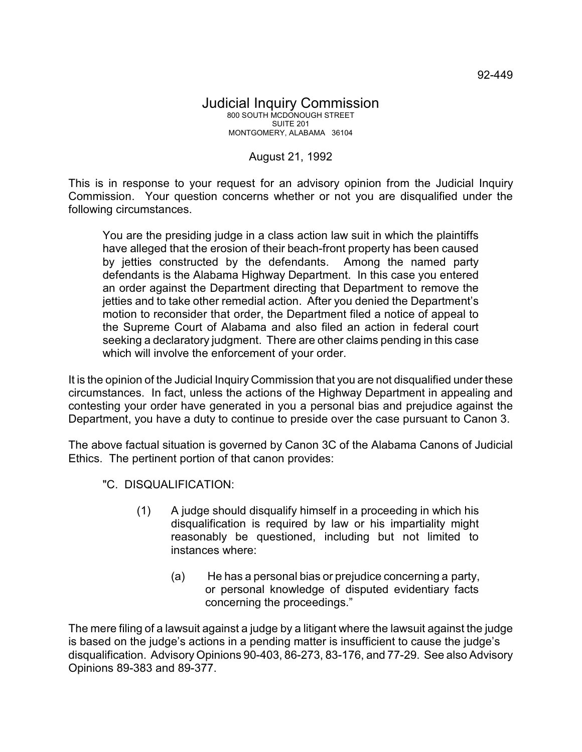## Judicial Inquiry Commission 800 SOUTH MCDONOUGH STREET SUITE 201 MONTGOMERY, ALABAMA 36104

August 21, 1992

This is in response to your request for an advisory opinion from the Judicial Inquiry Commission. Your question concerns whether or not you are disqualified under the following circumstances.

You are the presiding judge in a class action law suit in which the plaintiffs have alleged that the erosion of their beach-front property has been caused by jetties constructed by the defendants. Among the named party defendants is the Alabama Highway Department. In this case you entered an order against the Department directing that Department to remove the jetties and to take other remedial action. After you denied the Department's motion to reconsider that order, the Department filed a notice of appeal to the Supreme Court of Alabama and also filed an action in federal court seeking a declaratory judgment. There are other claims pending in this case which will involve the enforcement of your order.

It is the opinion of the Judicial Inquiry Commission that you are not disqualified under these circumstances. In fact, unless the actions of the Highway Department in appealing and contesting your order have generated in you a personal bias and prejudice against the Department, you have a duty to continue to preside over the case pursuant to Canon 3.

The above factual situation is governed by Canon 3C of the Alabama Canons of Judicial Ethics. The pertinent portion of that canon provides:

- "C. DISQUALIFICATION:
	- (1) A judge should disqualify himself in a proceeding in which his disqualification is required by law or his impartiality might reasonably be questioned, including but not limited to instances where:
		- (a) He has a personal bias or prejudice concerning a party, or personal knowledge of disputed evidentiary facts concerning the proceedings."

The mere filing of a lawsuit against a judge by a litigant where the lawsuit against the judge is based on the judge's actions in a pending matter is insufficient to cause the judge's disqualification. Advisory Opinions 90-403, 86-273, 83-176, and 77-29. See also Advisory Opinions 89-383 and 89-377.